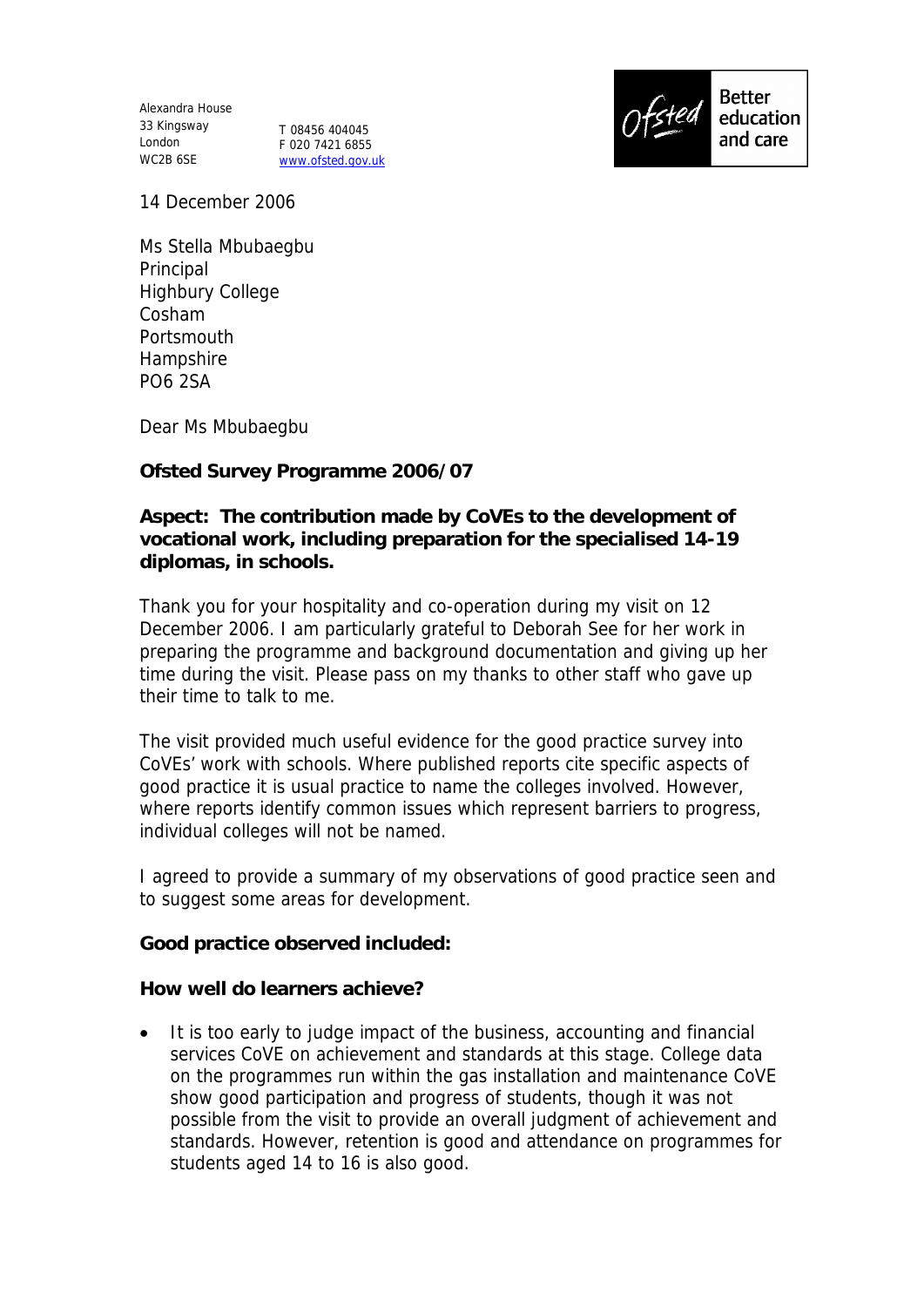Alexandra House 33 Kingsway London WC2B 6SE

T 08456 404045 F 020 7421 6855 www.ofsted.gov.uk



14 December 2006

Ms Stella Mbubaegbu Principal Highbury College Cosham Portsmouth Hampshire PO6 2SA

Dear Ms Mbubaegbu

**Ofsted Survey Programme 2006/07**

**Aspect: The contribution made by CoVEs to the development of vocational work, including preparation for the specialised 14-19 diplomas, in schools.**

Thank you for your hospitality and co-operation during my visit on 12 December 2006. I am particularly grateful to Deborah See for her work in preparing the programme and background documentation and giving up her time during the visit. Please pass on my thanks to other staff who gave up their time to talk to me.

The visit provided much useful evidence for the good practice survey into CoVEs' work with schools. Where published reports cite specific aspects of good practice it is usual practice to name the colleges involved. However, where reports identify common issues which represent barriers to progress, individual colleges will not be named.

I agreed to provide a summary of my observations of good practice seen and to suggest some areas for development.

**Good practice observed included:** 

**How well do learners achieve?** 

• It is too early to judge impact of the business, accounting and financial services CoVE on achievement and standards at this stage. College data on the programmes run within the gas installation and maintenance CoVE show good participation and progress of students, though it was not possible from the visit to provide an overall judgment of achievement and standards. However, retention is good and attendance on programmes for students aged 14 to 16 is also good.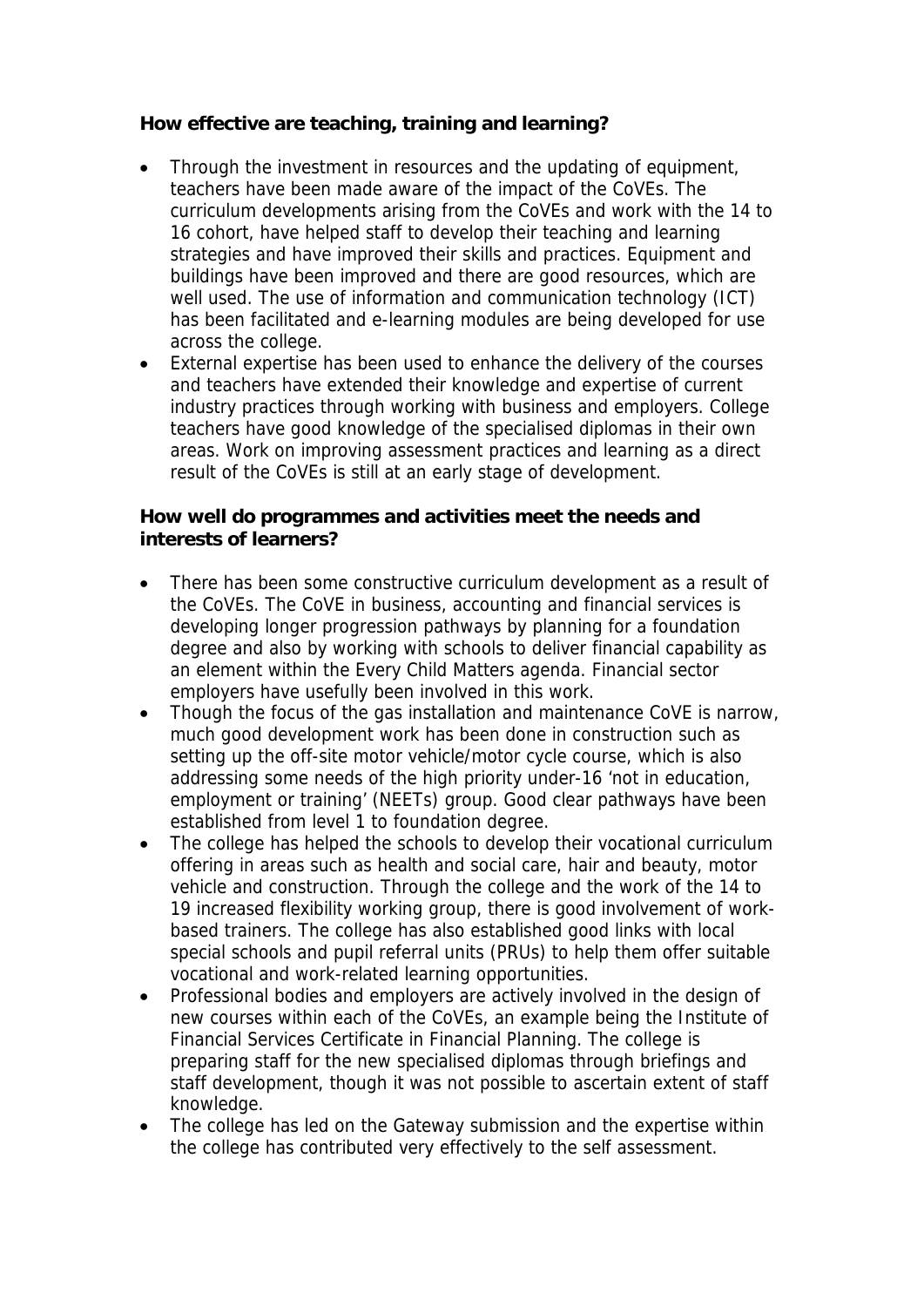**How effective are teaching, training and learning?**

- Through the investment in resources and the updating of equipment, teachers have been made aware of the impact of the CoVEs. The curriculum developments arising from the CoVEs and work with the 14 to 16 cohort, have helped staff to develop their teaching and learning strategies and have improved their skills and practices. Equipment and buildings have been improved and there are good resources, which are well used. The use of information and communication technology (ICT) has been facilitated and e-learning modules are being developed for use across the college.
- External expertise has been used to enhance the delivery of the courses and teachers have extended their knowledge and expertise of current industry practices through working with business and employers. College teachers have good knowledge of the specialised diplomas in their own areas. Work on improving assessment practices and learning as a direct result of the CoVEs is still at an early stage of development.

**How well do programmes and activities meet the needs and interests of learners?**

- There has been some constructive curriculum development as a result of the CoVEs. The CoVE in business, accounting and financial services is developing longer progression pathways by planning for a foundation degree and also by working with schools to deliver financial capability as an element within the Every Child Matters agenda. Financial sector employers have usefully been involved in this work.
- Though the focus of the gas installation and maintenance CoVE is narrow, much good development work has been done in construction such as setting up the off-site motor vehicle/motor cycle course, which is also addressing some needs of the high priority under-16 'not in education, employment or training' (NEETs) group. Good clear pathways have been established from level 1 to foundation degree.
- The college has helped the schools to develop their vocational curriculum offering in areas such as health and social care, hair and beauty, motor vehicle and construction. Through the college and the work of the 14 to 19 increased flexibility working group, there is good involvement of workbased trainers. The college has also established good links with local special schools and pupil referral units (PRUs) to help them offer suitable vocational and work-related learning opportunities.
- Professional bodies and employers are actively involved in the design of new courses within each of the CoVEs, an example being the Institute of Financial Services Certificate in Financial Planning. The college is preparing staff for the new specialised diplomas through briefings and staff development, though it was not possible to ascertain extent of staff knowledge.
- The college has led on the Gateway submission and the expertise within the college has contributed very effectively to the self assessment.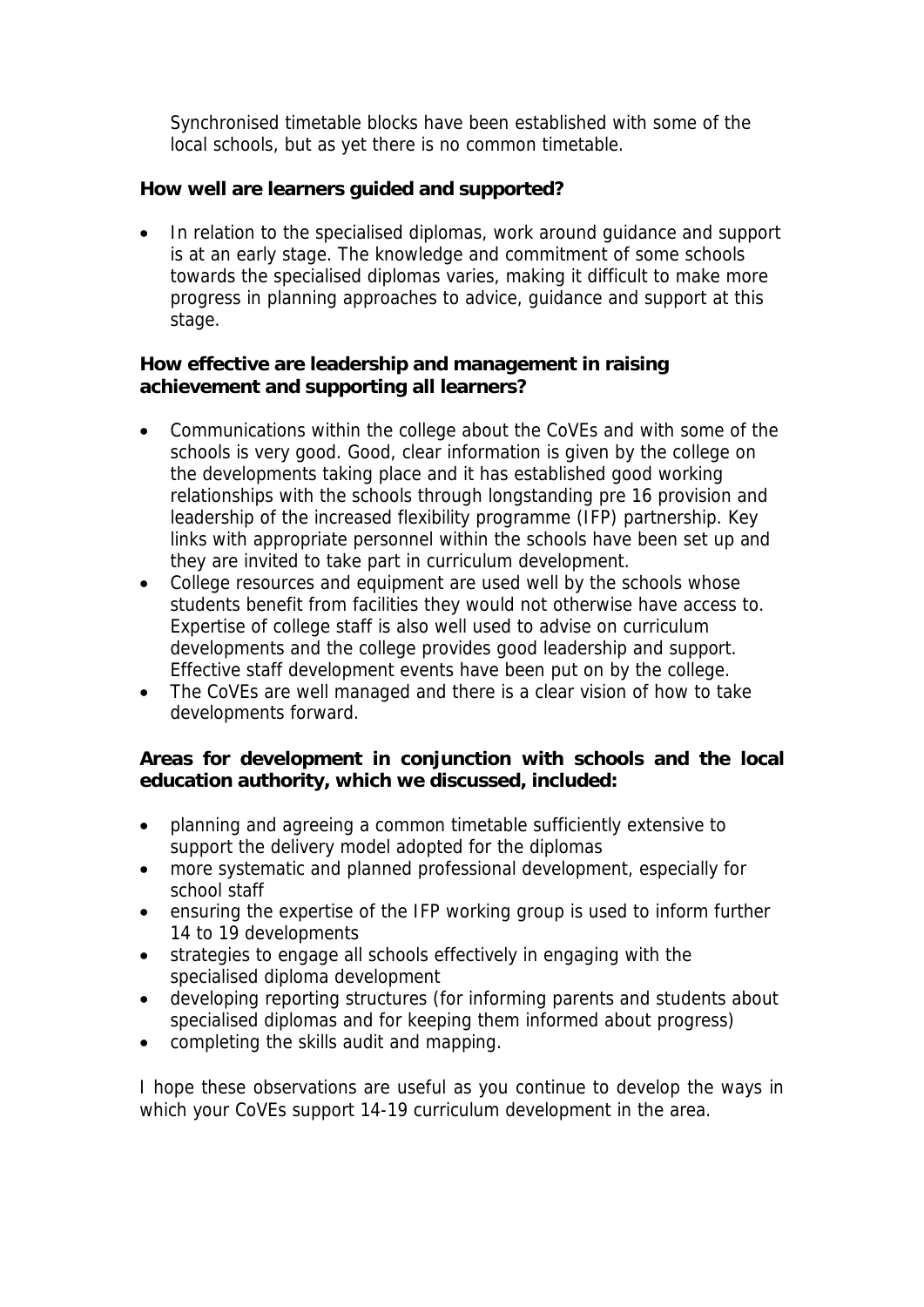Synchronised timetable blocks have been established with some of the local schools, but as yet there is no common timetable.

**How well are learners guided and supported?**

• In relation to the specialised diplomas, work around quidance and support is at an early stage. The knowledge and commitment of some schools towards the specialised diplomas varies, making it difficult to make more progress in planning approaches to advice, guidance and support at this stage.

**How effective are leadership and management in raising achievement and supporting all learners?**

- Communications within the college about the CoVEs and with some of the schools is very good. Good, clear information is given by the college on the developments taking place and it has established good working relationships with the schools through longstanding pre 16 provision and leadership of the increased flexibility programme (IFP) partnership. Key links with appropriate personnel within the schools have been set up and they are invited to take part in curriculum development.
- College resources and equipment are used well by the schools whose students benefit from facilities they would not otherwise have access to. Expertise of college staff is also well used to advise on curriculum developments and the college provides good leadership and support. Effective staff development events have been put on by the college.
- The CoVEs are well managed and there is a clear vision of how to take developments forward.

**Areas for development in conjunction with schools and the local education authority, which we discussed, included:**

- planning and agreeing a common timetable sufficiently extensive to support the delivery model adopted for the diplomas
- more systematic and planned professional development, especially for school staff
- ensuring the expertise of the IFP working group is used to inform further 14 to 19 developments
- strategies to engage all schools effectively in engaging with the specialised diploma development
- developing reporting structures (for informing parents and students about specialised diplomas and for keeping them informed about progress)
- completing the skills audit and mapping.

I hope these observations are useful as you continue to develop the ways in which your CoVEs support 14-19 curriculum development in the area.